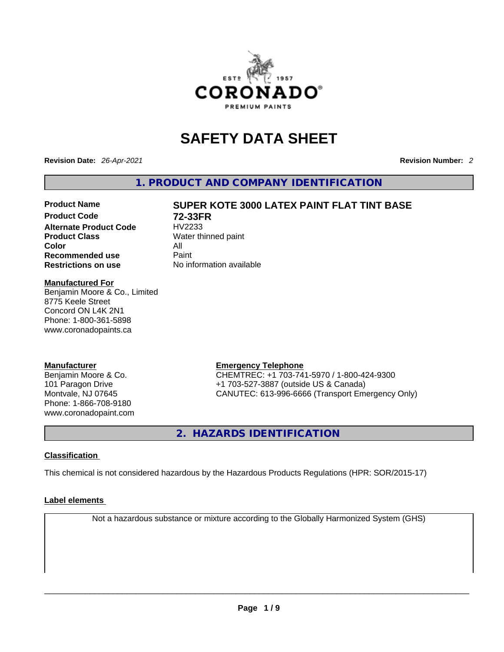

## **SAFETY DATA SHEET**

**Revision Date:** *26-Apr-2021* **Revision Number:** *2*

**1. PRODUCT AND COMPANY IDENTIFICATION** 

**Alternate Product Code** HV2233 **Product Class Water thinned paint Color** All **Recommended use** Paint<br> **Restrictions on use** Mo information available **Restrictions** on use

# **Product Name SUPER KOTE 3000 LATEX PAINT FLAT TINT BASE Product Code 72-33FR**

#### **Manufactured For**

Benjamin Moore & Co., Limited 8775 Keele Street Concord ON L4K 2N1 Phone: 1-800-361-5898 www.coronadopaints.ca

#### **Manufacturer**

Benjamin Moore & Co. 101 Paragon Drive Montvale, NJ 07645 Phone: 1-866-708-9180 www.coronadopaint.com

## **Emergency Telephone**

CHEMTREC: +1 703-741-5970 / 1-800-424-9300 +1 703-527-3887 (outside US & Canada) CANUTEC: 613-996-6666 (Transport Emergency Only)

**2. HAZARDS IDENTIFICATION** 

#### **Classification**

This chemical is not considered hazardous by the Hazardous Products Regulations (HPR: SOR/2015-17)

#### **Label elements**

Not a hazardous substance or mixture according to the Globally Harmonized System (GHS)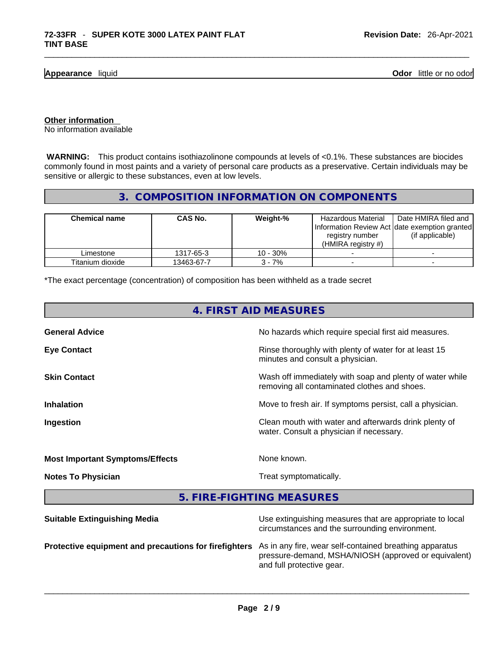**Appearance** liquid

**Odor** little or no odor

**Other information** 

No information available

 **WARNING:** This product contains isothiazolinone compounds at levels of <0.1%. These substances are biocides commonly found in most paints and a variety of personal care products as a preservative. Certain individuals may be sensitive or allergic to these substances, even at low levels.

#### **3. COMPOSITION INFORMATION ON COMPONENTS**

| <b>Chemical name</b> | CAS No.    | Weight-%   | Hazardous Material<br>Information Review Act Idate exemption granted<br>registry number<br>(HMIRA registry $#$ ) | Date HMIRA filed and<br>(if applicable) |
|----------------------|------------|------------|------------------------------------------------------------------------------------------------------------------|-----------------------------------------|
| Limestone            | 1317-65-3  | $10 - 30%$ |                                                                                                                  |                                         |
| Titanium dioxide     | 13463-67-7 | $3 - 7%$   |                                                                                                                  |                                         |

\*The exact percentage (concentration) of composition has been withheld as a trade secret

| 4. FIRST AID MEASURES                                 |                                                                                                                                                                |  |  |  |
|-------------------------------------------------------|----------------------------------------------------------------------------------------------------------------------------------------------------------------|--|--|--|
| <b>General Advice</b>                                 | No hazards which require special first aid measures.                                                                                                           |  |  |  |
| <b>Eye Contact</b>                                    | Rinse thoroughly with plenty of water for at least 15<br>minutes and consult a physician.                                                                      |  |  |  |
| <b>Skin Contact</b>                                   | Wash off immediately with soap and plenty of water while<br>removing all contaminated clothes and shoes.                                                       |  |  |  |
| <b>Inhalation</b>                                     | Move to fresh air. If symptoms persist, call a physician.<br>Clean mouth with water and afterwards drink plenty of<br>water. Consult a physician if necessary. |  |  |  |
| Ingestion                                             |                                                                                                                                                                |  |  |  |
| <b>Most Important Symptoms/Effects</b>                | None known.                                                                                                                                                    |  |  |  |
| <b>Notes To Physician</b>                             | Treat symptomatically.                                                                                                                                         |  |  |  |
|                                                       | 5. FIRE-FIGHTING MEASURES                                                                                                                                      |  |  |  |
| <b>Suitable Extinguishing Media</b>                   | Use extinguishing measures that are appropriate to local<br>circumstances and the surrounding environment.                                                     |  |  |  |
| Protective equipment and precautions for firefighters | As in any fire, wear self-contained breathing apparatus<br>pressure-demand, MSHA/NIOSH (approved or equivalent)<br>and full protective gear.                   |  |  |  |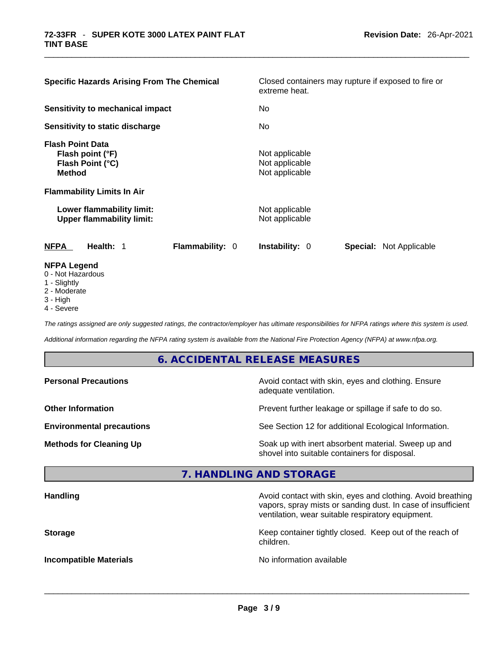| <b>Specific Hazards Arising From The Chemical</b>                                                                     | Closed containers may rupture if exposed to fire or<br>extreme heat. |
|-----------------------------------------------------------------------------------------------------------------------|----------------------------------------------------------------------|
| <b>Sensitivity to mechanical impact</b>                                                                               | No.                                                                  |
| Sensitivity to static discharge                                                                                       | No.                                                                  |
| <b>Flash Point Data</b><br>Flash point (°F)<br>Flash Point (°C)<br><b>Method</b><br><b>Flammability Limits In Air</b> | Not applicable<br>Not applicable<br>Not applicable                   |
| Lower flammability limit:<br><b>Upper flammability limit:</b>                                                         | Not applicable<br>Not applicable                                     |
| <b>Flammability: 0</b><br><b>NFPA</b><br>Health: 1                                                                    | <b>Instability: 0</b><br><b>Special: Not Applicable</b>              |
| <b>NFPA Legend</b><br>0 - Not Hazardous<br>1 - Slightly                                                               |                                                                      |

- 
- 2 Moderate
- 3 High
- 4 Severe

*The ratings assigned are only suggested ratings, the contractor/employer has ultimate responsibilities for NFPA ratings where this system is used.* 

*Additional information regarding the NFPA rating system is available from the National Fire Protection Agency (NFPA) at www.nfpa.org.* 

#### **6. ACCIDENTAL RELEASE MEASURES**

| <b>Personal Precautions</b>      | Avoid contact with skin, eyes and clothing. Ensure<br>adequate ventilation.                          |
|----------------------------------|------------------------------------------------------------------------------------------------------|
| <b>Other Information</b>         | Prevent further leakage or spillage if safe to do so.                                                |
| <b>Environmental precautions</b> | See Section 12 for additional Ecological Information.                                                |
| <b>Methods for Cleaning Up</b>   | Soak up with inert absorbent material. Sweep up and<br>shovel into suitable containers for disposal. |

### **7. HANDLING AND STORAGE**

| <b>Handling</b>               | Avoid contact with skin, eyes and clothing. Avoid breathing<br>vapors, spray mists or sanding dust. In case of insufficient<br>ventilation, wear suitable respiratory equipment. |
|-------------------------------|----------------------------------------------------------------------------------------------------------------------------------------------------------------------------------|
| <b>Storage</b>                | Keep container tightly closed. Keep out of the reach of<br>children.                                                                                                             |
| <b>Incompatible Materials</b> | No information available                                                                                                                                                         |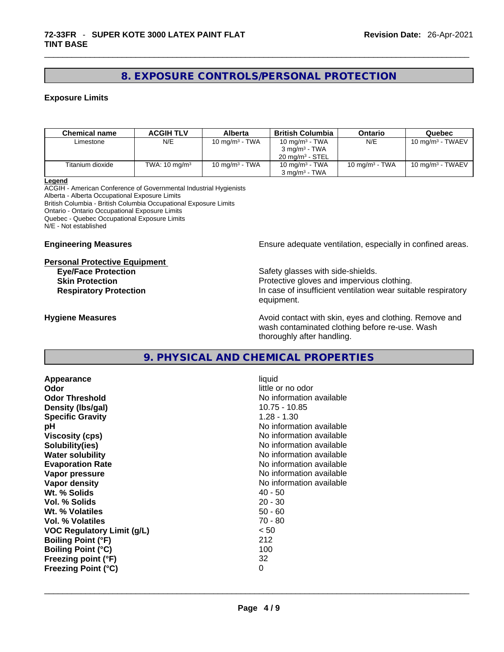#### **8. EXPOSURE CONTROLS/PERSONAL PROTECTION**

#### **Exposure Limits**

| <b>Chemical name</b> | <b>ACGIH TLV</b>         | <b>Alberta</b>    | <b>British Columbia</b>    | <b>Ontario</b>    | Quebec                       |
|----------------------|--------------------------|-------------------|----------------------------|-------------------|------------------------------|
| Limestone            | N/E                      | 10 mg/m $3$ - TWA | 10 mg/m <sup>3</sup> - TWA | N/E               | 10 mg/m $3$ - TWAEV          |
|                      |                          |                   | $3 \text{ ma/m}^3$ - TWA   |                   |                              |
|                      |                          |                   | $20 \text{ mg/m}^3$ - STEL |                   |                              |
| Titanium dioxide     | TWA: $10 \text{ mg/m}^3$ | 10 mg/m $3$ - TWA | 10 mg/m $3$ - TWA          | 10 mg/m $3$ - TWA | 10 mg/m <sup>3</sup> - TWAEV |
|                      |                          |                   | $3$ mg/m $3$ - TWA         |                   |                              |

**Legend**

ACGIH - American Conference of Governmental Industrial Hygienists Alberta - Alberta Occupational Exposure Limits British Columbia - British Columbia Occupational Exposure Limits Ontario - Ontario Occupational Exposure Limits Quebec - Quebec Occupational Exposure Limits N/E - Not established

#### **Personal Protective Equipment**

**Engineering Measures Ensure** Ensure adequate ventilation, especially in confined areas.

**Eye/Face Protection Safety glasses with side-shields. Skin Protection Protection Protective gloves and impervious clothing. Respiratory Protection In case of insufficient ventilation wear suitable respiratory** equipment.

**Hygiene Measures Avoid contact with skin, eyes and clothing. Remove and Avoid contact with skin, eyes and clothing. Remove and Avoid contact with skin, eyes and clothing. Remove and** wash contaminated clothing before re-use. Wash thoroughly after handling.

#### **9. PHYSICAL AND CHEMICAL PROPERTIES**

**Appearance** liquid **Odor Odor Odor Odor Odor** *little or no odor little or no odor* **Odor Threshold**<br> **Density (Ibs/gal)**<br> **Density (Ibs/gal)**<br> **No information available**<br>
10.75 - 10.85 **Density (Ibs/gal)** 10.75 - 10.75 - 10.75 - 10.75 - 10.<br>**Specific Gravity** 1.28 - 1.30 **Specific Gravity pH pH** *No* information available **Viscosity (cps) Viscosity (cps) No information available Solubility(ies)** No information available **Water solubility No information available No information available Evaporation Rate No information available No information available Vapor pressure**  No information available **No information** available **Vapor density No information available No information available Wt. % Solids** 40 - 50 **Vol. % Solids** 20 - 30 **Wt. % Volatiles** 50 - 60 **Vol. % Volatiles VOC Regulatory Limit (g/L)** < 50 **Boiling Point (°F)** 212 **Boiling Point (°C)** 100 **Freezing point (°F)** 32 **Freezing Point (°C)** 0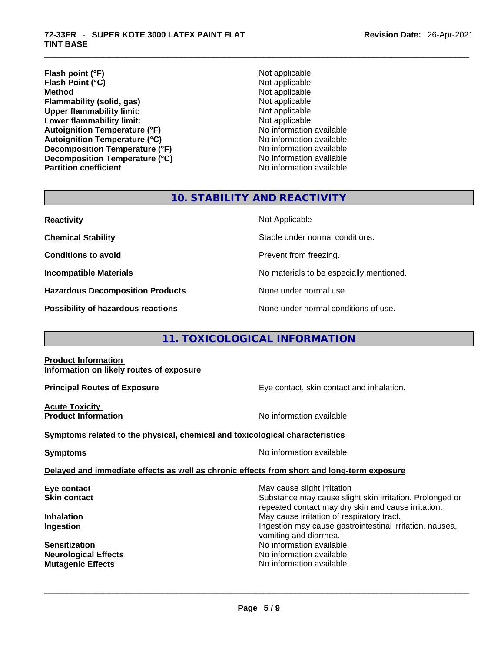- **Revision Date:** 26-Apr-2021
- **Flash point (°F)**<br> **Flash Point (°C)**<br> **Flash Point (°C)**<br> **Not** applicable **Flash Point (°C) Method** Not applicable **Flammability (solid, gas)** Not applicable **Upper flammability limit:**<br> **Lower flammability limit:**<br>
Not applicable<br>
Not applicable **Lower flammability limit:**<br> **Autoignition Temperature (°F)** Not applicable available **Autoignition Temperature (°F) Autoignition Temperature (°C)**<br> **Decomposition Temperature (°F)** No information available **Decomposition Temperature (°F) Decomposition Temperature (°C)** No information available **Partition coefficient** No information available
	-

#### **10. STABILITY AND REACTIVITY**

| <b>Reactivity</b> |  |
|-------------------|--|
|                   |  |

**Hazardous Decomposition Products** None under normal use.

**Not Applicable** 

**Chemical Stability** Stable under normal conditions.

**Conditions to avoid Prevent from freezing.** 

**Incompatible Materials No materials** No materials to be especially mentioned.

**Possibility of hazardous reactions** None under normal conditions of use.

#### **11. TOXICOLOGICAL INFORMATION**

#### **Product Information Information on likely routes of exposure**

**Acute Toxicity** 

**Principal Routes of Exposure Exposure** Eye contact, skin contact and inhalation.

**Product Information Information No information available** 

#### **Symptoms** related to the physical, chemical and toxicological characteristics

**Symptoms Symptoms No information available** 

#### **Delayed and immediate effects as well as chronic effects from short and long-term exposure**

**Eye contact Exercise 3 May cause slight irritation Skin contact Substance may cause slight skin irritation. Prolonged or** Substance may cause slight skin irritation. Prolonged or repeated contact may dry skin and cause irritation. **Inhalation Inhalation Inhalation May cause irritation of respiratory tract. Ingestion Ingestion Index is a structure of the line of the line of the line of the line of the line of the line of the line of the line of the line of the line of the line of the line of the line of the line of the l** vomiting and diarrhea. **Sensitization No information available. Neurological Effects No information available. Mutagenic Effects** No information available. \_\_\_\_\_\_\_\_\_\_\_\_\_\_\_\_\_\_\_\_\_\_\_\_\_\_\_\_\_\_\_\_\_\_\_\_\_\_\_\_\_\_\_\_\_\_\_\_\_\_\_\_\_\_\_\_\_\_\_\_\_\_\_\_\_\_\_\_\_\_\_\_\_\_\_\_\_\_\_\_\_\_\_\_\_\_\_\_\_\_\_\_\_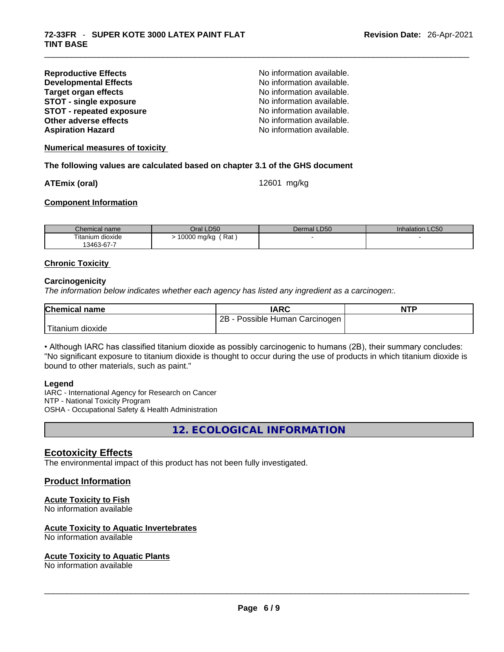| <b>Reproductive Effects</b>     | No information available. |
|---------------------------------|---------------------------|
| <b>Developmental Effects</b>    | No information available. |
| <b>Target organ effects</b>     | No information available. |
| <b>STOT - single exposure</b>   | No information available. |
| <b>STOT - repeated exposure</b> | No information available. |
| Other adverse effects           | No information available. |
| <b>Aspiration Hazard</b>        | No information available. |

**Numerical measures of toxicity**

#### **The following values are calculated based on chapter 3.1 of the GHS document**

**ATEmix (oral)** 12601 mg/kg

#### **Component Information**

| Chemical name    | Oral LD50              | Dermal LD50 | <b>Inhalation LC50</b> |
|------------------|------------------------|-------------|------------------------|
| Titanium dioxide | 10000 mg/kg<br>, Rat ا |             |                        |
| 13463-67-7       |                        |             |                        |

#### **Chronic Toxicity**

#### **Carcinogenicity**

*The information below indicates whether each agency has listed any ingredient as a carcinogen:.* 

| <b>Chemical name</b> | <b>IARC</b>                           | <b>NTP</b> |
|----------------------|---------------------------------------|------------|
|                      | $2B -$<br>Possible Human Carcinogen I |            |
| Titanium dioxide     |                                       |            |

• Although IARC has classified titanium dioxide as possibly carcinogenic to humans (2B), their summary concludes: "No significant exposure to titanium dioxide is thought to occur during the use of products in which titanium dioxide is bound to other materials, such as paint."

#### **Legend**

IARC - International Agency for Research on Cancer NTP - National Toxicity Program OSHA - Occupational Safety & Health Administration

**12. ECOLOGICAL INFORMATION** 

#### **Ecotoxicity Effects**

The environmental impact of this product has not been fully investigated.

#### **Product Information**

#### **Acute Toxicity to Fish**

No information available

#### **Acute Toxicity to Aquatic Invertebrates**

# No information available \_\_\_\_\_\_\_\_\_\_\_\_\_\_\_\_\_\_\_\_\_\_\_\_\_\_\_\_\_\_\_\_\_\_\_\_\_\_\_\_\_\_\_\_\_\_\_\_\_\_\_\_\_\_\_\_\_\_\_\_\_\_\_\_\_\_\_\_\_\_\_\_\_\_\_\_\_\_\_\_\_\_\_\_\_\_\_\_\_\_\_\_\_ **Acute Toxicity to Aquatic Plants**

No information available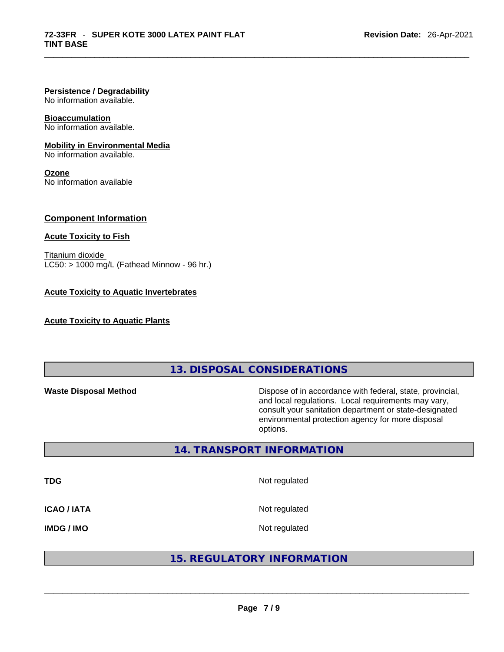#### **Persistence / Degradability**

No information available.

#### **Bioaccumulation**

No information available.

#### **Mobility in Environmental Media**

No information available.

#### **Ozone**

No information available

#### **Component Information**

#### **Acute Toxicity to Fish**

Titanium dioxide  $LC50: > 1000$  mg/L (Fathead Minnow - 96 hr.)

#### **Acute Toxicity to Aquatic Invertebrates**

**Acute Toxicity to Aquatic Plants**

#### **13. DISPOSAL CONSIDERATIONS**

**Waste Disposal Method** Dispose of in accordance with federal, state, provincial, and local regulations. Local requirements may vary, consult your sanitation department or state-designated environmental protection agency for more disposal options.

#### **14. TRANSPORT INFORMATION**

**TDG** Not regulated **ICAO / IATA** Not regulated

IMDG / IMO<br>
And regulated<br>  $\begin{array}{|l|l|}\hline \textbf{15. REGULAR} & \textbf{16.} \\ \hline \end{array}$ <br>  $\begin{array}{|l|l|}\hline \textbf{25.} \\ \hline \textbf{36.} \\ \hline \textbf{47.} \\ \hline \textbf{58.} \\ \hline \textbf{69.} \\ \hline \textbf{70.} \\ \hline \textbf{81.} \\ \hline \textbf{91.} \\ \hline \textbf{10.} \\ \hline \textbf{11.} \\ \hline \textbf{12.} \\ \hline \textbf{$ 

### **15. REGULATORY INFORMATION**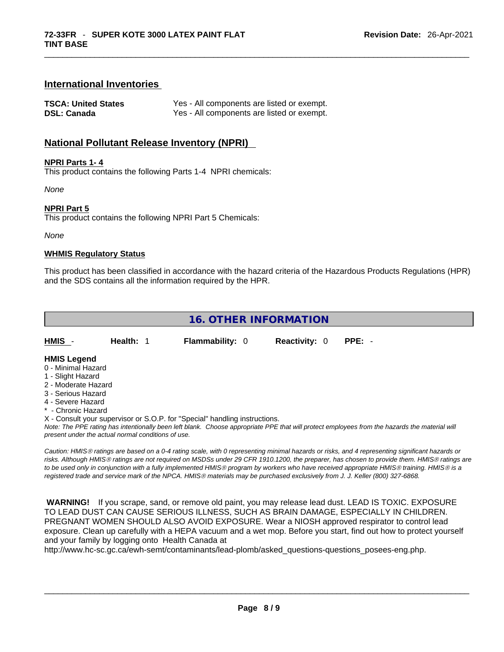#### **International Inventories**

| <b>TSCA: United States</b> | Yes - All components are listed or exempt. |
|----------------------------|--------------------------------------------|
| <b>DSL: Canada</b>         | Yes - All components are listed or exempt. |

#### **National Pollutant Release Inventory (NPRI)**

#### **NPRI Parts 1- 4**

This product contains the following Parts 1-4 NPRI chemicals:

*None*

#### **NPRI Part 5**

This product contains the following NPRI Part 5 Chemicals:

#### *None*

#### **WHMIS Regulatory Status**

This product has been classified in accordance with the hazard criteria of the Hazardous Products Regulations (HPR) and the SDS contains all the information required by the HPR.

#### **16. OTHER INFORMATION**

| HMIS - | <b>Health: 1</b> | <b>Flammability: 0</b> | <b>Reactivity: 0 PPE: -</b> |  |
|--------|------------------|------------------------|-----------------------------|--|
| .      |                  |                        |                             |  |

#### **HMIS Legend**

- 0 Minimal Hazard
- 1 Slight Hazard
- 2 Moderate Hazard
- 3 Serious Hazard
- 4 Severe Hazard
- \* Chronic Hazard
- X Consult your supervisor or S.O.P. for "Special" handling instructions.

*Note: The PPE rating has intentionally been left blank. Choose appropriate PPE that will protect employees from the hazards the material will present under the actual normal conditions of use.* 

*Caution: HMISÒ ratings are based on a 0-4 rating scale, with 0 representing minimal hazards or risks, and 4 representing significant hazards or risks. Although HMISÒ ratings are not required on MSDSs under 29 CFR 1910.1200, the preparer, has chosen to provide them. HMISÒ ratings are to be used only in conjunction with a fully implemented HMISÒ program by workers who have received appropriate HMISÒ training. HMISÒ is a registered trade and service mark of the NPCA. HMISÒ materials may be purchased exclusively from J. J. Keller (800) 327-6868.* 

 **WARNING!** If you scrape, sand, or remove old paint, you may release lead dust. LEAD IS TOXIC. EXPOSURE TO LEAD DUST CAN CAUSE SERIOUS ILLNESS, SUCH AS BRAIN DAMAGE, ESPECIALLY IN CHILDREN. PREGNANT WOMEN SHOULD ALSO AVOID EXPOSURE. Wear a NIOSH approved respirator to control lead exposure. Clean up carefully with a HEPA vacuum and a wet mop. Before you start, find out how to protect yourself and your family by logging onto Health Canada at

http://www.hc-sc.gc.ca/ewh-semt/contaminants/lead-plomb/asked\_questions-questions\_posees-eng.php.